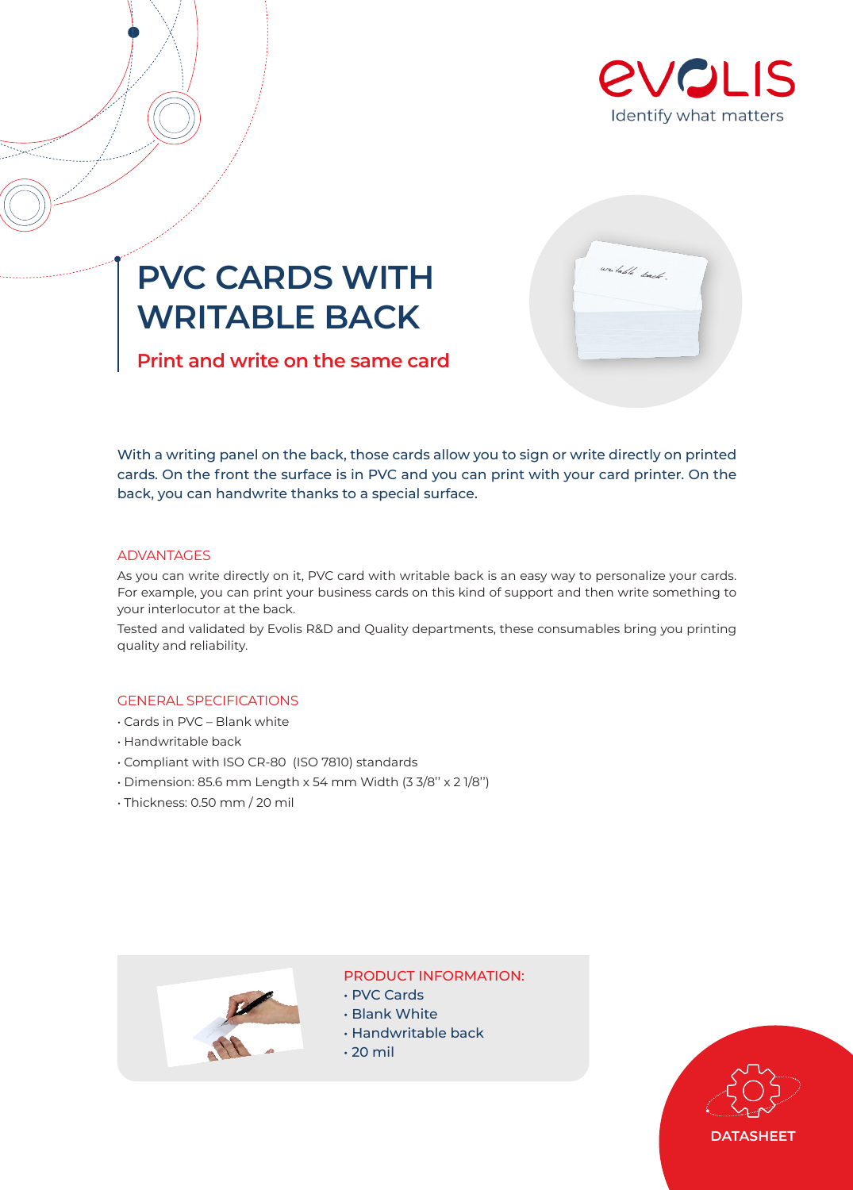

# **PVC CARDS WITH WRITABLE BACK**

**Print and write on the same card**



With a writing panel on the back, those cards allow you to sign or write directly on printed cards. On the front the surface is in PVC and you can print with your card printer. On the back, you can handwrite thanks to a special surface.

### ADVANTAGES

As you can write directly on it, PVC card with writable back is an easy way to personalize your cards. For example, you can print your business cards on this kind of support and then write something to your interlocutor at the back.

Tested and validated by Evolis R&D and Quality departments, these consumables bring you printing quality and reliability.

## GENERAL SPECIFICATIONS

- Cards in PVC Blank white
- Handwritable back
- Compliant with ISO CR-80 (ISO 7810) standards
- Dimension: 85.6 mm Length x 54 mm Width (3 3/8'' x 2 1/8'')
- Thickness: 0.50 mm / 20 mil



#### PRODUCT INFORMATION:

- PVC Cards
- Blank White
- Handwritable back
- $\cdot$  20 mil